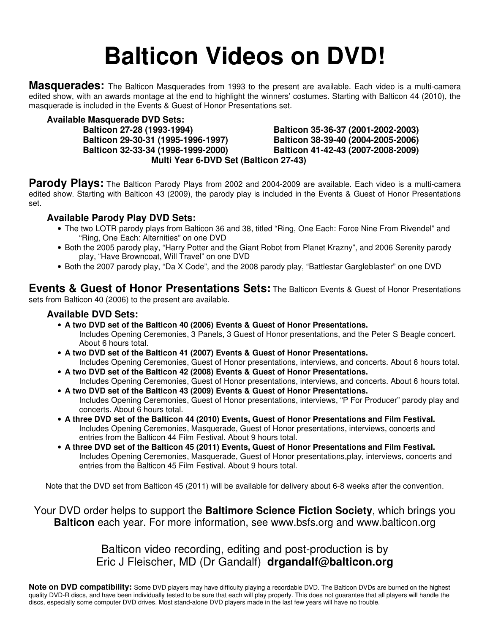# **Balticon Videos on DVD!**

**Masquerades:** The Balticon Masquerades from 1993 to the present are available. Each video is a multi-camera edited show, with an awards montage at the end to highlight the winners' costumes. Starting with Balticon 44 (2010), the masquerade is included in the Events & Guest of Honor Presentations set.

**Available Masquerade DVD Sets:**

 **Balticon 27-28 (1993-1994) Balticon 35-36-37 (2001-2002-2003) Balticon 29-30-31 (1995-1996-1997) Balticon 38-39-40 (2004-2005-2006) Balticon 32-33-34 (1998-1999-2000) Balticon 41-42-43 (2007-2008-2009) Multi Year 6-DVD Set (Balticon 27-43)**

Parody Plays: The Balticon Parody Plays from 2002 and 2004-2009 are available. Each video is a multi-camera edited show. Starting with Balticon 43 (2009), the parody play is included in the Events & Guest of Honor Presentations set.

#### **Available Parody Play DVD Sets:**

- The two LOTR parody plays from Balticon 36 and 38, titled "Ring, One Each: Force Nine From Rivendel" and "Ring, One Each: Alternities" on one DVD
- Both the 2005 parody play, "Harry Potter and the Giant Robot from Planet Krazny", and 2006 Serenity parody play, "Have Browncoat, Will Travel" on one DVD
- Both the 2007 parody play, "Da X Code", and the 2008 parody play, "Battlestar Gargleblaster" on one DVD

**Events & Guest of Honor Presentations Sets:** The Balticon Events & Guest of Honor Presentations sets from Balticon 40 (2006) to the present are available.

#### **Available DVD Sets:**

- **A two DVD set of the Balticon 40 (2006) Events & Guest of Honor Presentations.** 
	- Includes Opening Ceremonies, 3 Panels, 3 Guest of Honor presentations, and the Peter S Beagle concert. About 6 hours total.
- **A two DVD set of the Balticon 41 (2007) Events & Guest of Honor Presentations.**

Includes Opening Ceremonies, Guest of Honor presentations, interviews, and concerts. About 6 hours total. • **A two DVD set of the Balticon 42 (2008) Events & Guest of Honor Presentations.** 

- Includes Opening Ceremonies, Guest of Honor presentations, interviews, and concerts. About 6 hours total. • **A two DVD set of the Balticon 43 (2009) Events & Guest of Honor Presentations.**
- Includes Opening Ceremonies, Guest of Honor presentations, interviews, "P For Producer" parody play and concerts. About 6 hours total.
- **A three DVD set of the Balticon 44 (2010) Events, Guest of Honor Presentations and Film Festival.** Includes Opening Ceremonies, Masquerade, Guest of Honor presentations, interviews, concerts and entries from the Balticon 44 Film Festival. About 9 hours total.
- **A three DVD set of the Balticon 45 (2011) Events, Guest of Honor Presentations and Film Festival.** Includes Opening Ceremonies, Masquerade, Guest of Honor presentations,play, interviews, concerts and entries from the Balticon 45 Film Festival. About 9 hours total.

Note that the DVD set from Balticon 45 (2011) will be available for delivery about 6-8 weeks after the convention.

Your DVD order helps to support the **Baltimore Science Fiction Society**, which brings you **Balticon** each year. For more information, see www.bsfs.org and www.balticon.org

> Balticon video recording, editing and post-production is by Eric J Fleischer, MD (Dr Gandalf) **drgandalf@balticon.org**

**Note on DVD compatibility:** Some DVD players may have difficulty playing a recordable DVD. The Balticon DVDs are burned on the highest quality DVD-R discs, and have been individually tested to be sure that each will play properly. This does not guarantee that all players will handle the discs, especially some computer DVD drives. Most stand-alone DVD players made in the last few years will have no trouble.